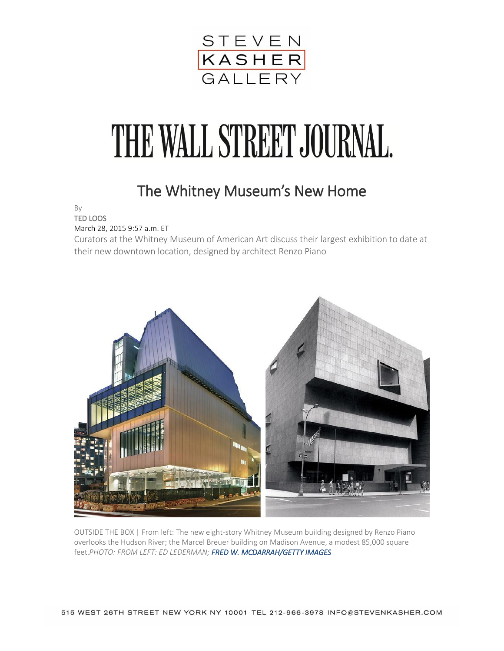

## THE WALL STREET JOURNAL.

## The Whitney Museum's New Home

By

TED LOOS March 28, 2015 9:57 a.m. ET

Curators at the Whitney Museum of American Art discuss their largest exhibition to date at their new downtown location, designed by architect Renzo Piano



OUTSIDE THE BOX | From left: The new eight-story Whitney Museum building designed by Renzo Piano overlooks the Hudson River; the Marcel Breuer building on Madison Avenue, a modest 85,000 square feet.*PHOTO: FROM LEFT: ED LEDERMAN; FRED W. MCDARRAH/GETTY IMAGES*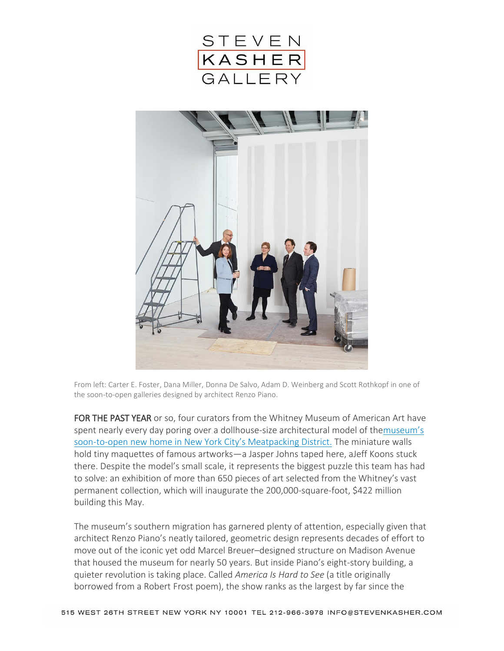



From left: Carter E. Foster, Dana Miller, Donna De Salvo, Adam D. Weinberg and Scott Rothkopf in one of the soon-to-open galleries designed by architect Renzo Piano.

FOR THE PAST YEAR or so, four curators from the Whitney Museum of American Art have spent nearly every day poring over a dollhouse-size architectural model of the[museum's](http://www.wsj.com/articles/SB10001424052748704026204575267222263079234)  soon-to-[open new home in New York City's Meatpacking District.](http://www.wsj.com/articles/SB10001424052748704026204575267222263079234) The miniature walls hold tiny maquettes of famous artworks—a Jasper Johns taped here, aJeff Koons stuck there. Despite the model's small scale, it represents the biggest puzzle this team has had to solve: an exhibition of more than 650 pieces of art selected from the Whitney's vast permanent collection, which will inaugurate the 200,000-square-foot, \$422 million building this May.

The museum's southern migration has garnered plenty of attention, especially given that architect Renzo Piano's neatly tailored, geometric design represents decades of effort to move out of the iconic yet odd Marcel Breuer–designed structure on Madison Avenue that housed the museum for nearly 50 years. But inside Piano's eight-story building, a quieter revolution is taking place. Called *America Is Hard to See* (a title originally borrowed from a Robert Frost poem), the show ranks as the largest by far since the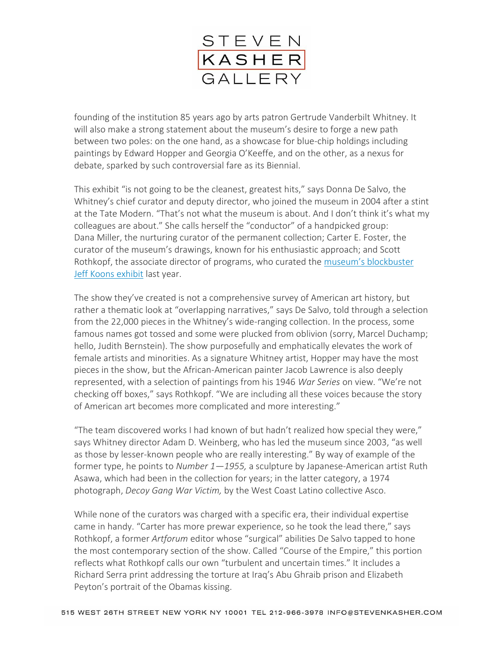

founding of the institution 85 years ago by arts patron Gertrude Vanderbilt Whitney. It will also make a strong statement about the museum's desire to forge a new path between two poles: on the one hand, as a showcase for blue-chip holdings including paintings by Edward Hopper and Georgia O'Keeffe, and on the other, as a nexus for debate, sparked by such controversial fare as its Biennial.

This exhibit "is not going to be the cleanest, greatest hits," says Donna De Salvo, the Whitney's chief curator and deputy director, who joined the museum in 2004 after a stint at the Tate Modern. "That's not what the museum is about. And I don't think it's what my colleagues are about." She calls herself the "conductor" of a handpicked group: Dana Miller, the nurturing curator of the permanent collection; Carter E. Foster, the curator of the museum's drawings, known for his enthusiastic approach; and Scott Rothkopf, the associate director of programs, who curated the [museum's blockbuster](http://blogs.wsj.com/metropolis/2014/06/25/wsj-video-jeff-koons-on-art-and-enlightenment/)  [Jeff Koons exhibit](http://blogs.wsj.com/metropolis/2014/06/25/wsj-video-jeff-koons-on-art-and-enlightenment/) last year.

The show they've created is not a comprehensive survey of American art history, but rather a thematic look at "overlapping narratives," says De Salvo, told through a selection from the 22,000 pieces in the Whitney's wide-ranging collection. In the process, some famous names got tossed and some were plucked from oblivion (sorry, Marcel Duchamp; hello, Judith Bernstein). The show purposefully and emphatically elevates the work of female artists and minorities. As a signature Whitney artist, Hopper may have the most pieces in the show, but the African-American painter Jacob Lawrence is also deeply represented, with a selection of paintings from his 1946 *War Series* on view. "We're not checking off boxes," says Rothkopf. "We are including all these voices because the story of American art becomes more complicated and more interesting."

"The team discovered works I had known of but hadn't realized how special they were," says Whitney director Adam D. Weinberg, who has led the museum since 2003, "as well as those by lesser-known people who are really interesting." By way of example of the former type, he points to *Number 1—1955,* a sculpture by Japanese-American artist Ruth Asawa, which had been in the collection for years; in the latter category, a 1974 photograph, *Decoy Gang War Victim,* by the West Coast Latino collective Asco.

While none of the curators was charged with a specific era, their individual expertise came in handy. "Carter has more prewar experience, so he took the lead there," says Rothkopf, a former *Artforum* editor whose "surgical" abilities De Salvo tapped to hone the most contemporary section of the show. Called "Course of the Empire," this portion reflects what Rothkopf calls our own "turbulent and uncertain times." It includes a Richard Serra print addressing the torture at Iraq's Abu Ghraib prison and Elizabeth Peyton's portrait of the Obamas kissing.